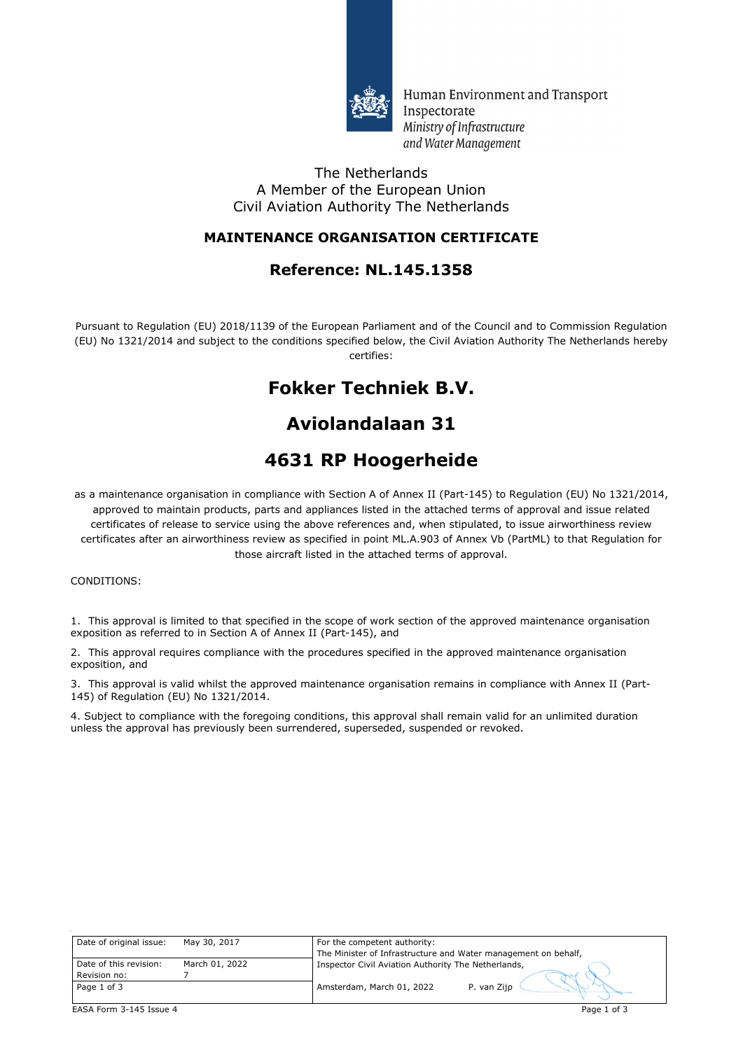

Human Environment and Transport Inspectorate Ministry of Infrastructure and Water Management

#### The Netherlands A Member of the European Union Civil Aviation Authority The Netherlands

### **MAINTENANCE ORGANISATION CERTIFICATE**

## **Reference: NL.145.1358**

Pursuant to Regulation (EU) 2018/1139 of the European Parliament and of the Council and to Commission Regulation (EU) No 1321/2014 and subject to the conditions specified below, the Civil Aviation Authority The Netherlands hereby certifies:

# **Fokker Techniek B.V.**

# **Aviolandalaan 31**

# **4631 RP Hoogerheide**

as a maintenance organisation in compliance with Section A of Annex II (Part-145) to Regulation (EU) No 1321/2014, approved to maintain products, parts and appliances listed in the attached terms of approval and issue related certificates of release to service using the above references and, when stipulated, to issue airworthiness review certificates after an airworthiness review as specified in point ML.A.903 of Annex Vb (PartML) to that Regulation for those aircraft listed in the attached terms of approval.

#### CONDITIONS:

1. This approval is limited to that specified in the scope of work section of the approved maintenance organisation exposition as referred to in Section A of Annex II (Part-145), and

2. This approval requires compliance with the procedures specified in the approved maintenance organisation exposition, and

3. This approval is valid whilst the approved maintenance organisation remains in compliance with Annex II (Part-145) of Regulation (EU) No 1321/2014.

4. Subject to compliance with the foregoing conditions, this approval shall remain valid for an unlimited duration unless the approval has previously been surrendered, superseded, suspended or revoked.

| Date of original issue: | May 30, 2017   | For the competent authority:                                   |
|-------------------------|----------------|----------------------------------------------------------------|
|                         |                | The Minister of Infrastructure and Water management on behalf, |
| Date of this revision:  | March 01, 2022 | Inspector Civil Aviation Authority The Netherlands,            |
| Revision no:            |                |                                                                |
| Page 1 of 3             |                | Amsterdam, March 01, 2022<br>P. van Zijp                       |
|                         |                |                                                                |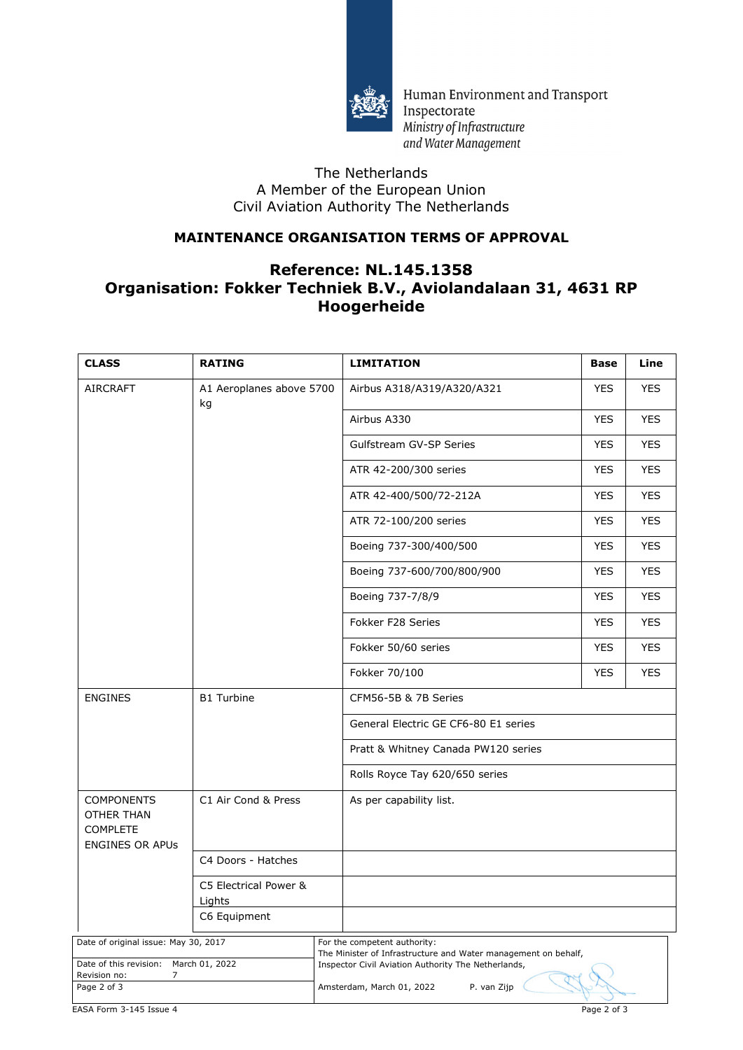

Human Environment and Transport Inspectorate Ministry of Infrastructure and Water Management

### The Netherlands A Member of the European Union Civil Aviation Authority The Netherlands

### **MAINTENANCE ORGANISATION TERMS OF APPROVAL**

### **Reference: NL.145.1358 Organisation: Fokker Techniek B.V., Aviolandalaan 31, 4631 RP Hoogerheide**

| <b>CLASS</b>                                                                           | <b>RATING</b>                   | <b>LIMITATION</b>                                                                               | <b>Base</b> | Line       |
|----------------------------------------------------------------------------------------|---------------------------------|-------------------------------------------------------------------------------------------------|-------------|------------|
| <b>AIRCRAFT</b>                                                                        | A1 Aeroplanes above 5700<br>kg  | Airbus A318/A319/A320/A321                                                                      | <b>YES</b>  | <b>YES</b> |
|                                                                                        |                                 | Airbus A330                                                                                     | <b>YES</b>  | <b>YES</b> |
|                                                                                        |                                 | Gulfstream GV-SP Series                                                                         | <b>YES</b>  | <b>YES</b> |
|                                                                                        |                                 | ATR 42-200/300 series                                                                           | <b>YES</b>  | <b>YES</b> |
|                                                                                        |                                 | ATR 42-400/500/72-212A                                                                          | <b>YES</b>  | <b>YES</b> |
|                                                                                        |                                 | ATR 72-100/200 series                                                                           | <b>YES</b>  | <b>YES</b> |
|                                                                                        |                                 | Boeing 737-300/400/500                                                                          | <b>YES</b>  | <b>YES</b> |
|                                                                                        |                                 | Boeing 737-600/700/800/900                                                                      | <b>YES</b>  | <b>YES</b> |
|                                                                                        |                                 | Boeing 737-7/8/9                                                                                | <b>YES</b>  | <b>YES</b> |
|                                                                                        |                                 | Fokker F28 Series                                                                               | <b>YES</b>  | <b>YES</b> |
|                                                                                        |                                 | Fokker 50/60 series                                                                             | <b>YES</b>  | <b>YES</b> |
|                                                                                        |                                 | Fokker 70/100                                                                                   | <b>YES</b>  | <b>YES</b> |
| <b>ENGINES</b>                                                                         | <b>B1 Turbine</b>               | CFM56-5B & 7B Series                                                                            |             |            |
|                                                                                        |                                 | General Electric GE CF6-80 E1 series                                                            |             |            |
|                                                                                        |                                 | Pratt & Whitney Canada PW120 series                                                             |             |            |
|                                                                                        |                                 | Rolls Royce Tay 620/650 series                                                                  |             |            |
| <b>COMPONENTS</b><br>OTHER THAN<br><b>COMPLETE</b><br><b>ENGINES OR APUS</b>           | C1 Air Cond & Press             | As per capability list.                                                                         |             |            |
|                                                                                        | C4 Doors - Hatches              |                                                                                                 |             |            |
|                                                                                        | C5 Electrical Power &<br>Lights |                                                                                                 |             |            |
|                                                                                        | C6 Equipment                    |                                                                                                 |             |            |
| Date of original issue: May 30, 2017                                                   |                                 | For the competent authority:<br>The Minister of Infrastructure and Water management on behalf,  |             |            |
| Date of this revision: March 01, 2022<br>$\overline{7}$<br>Revision no:<br>Page 2 of 3 |                                 | Inspector Civil Aviation Authority The Netherlands,<br>Amsterdam, March 01, 2022<br>P. van Zijp |             |            |